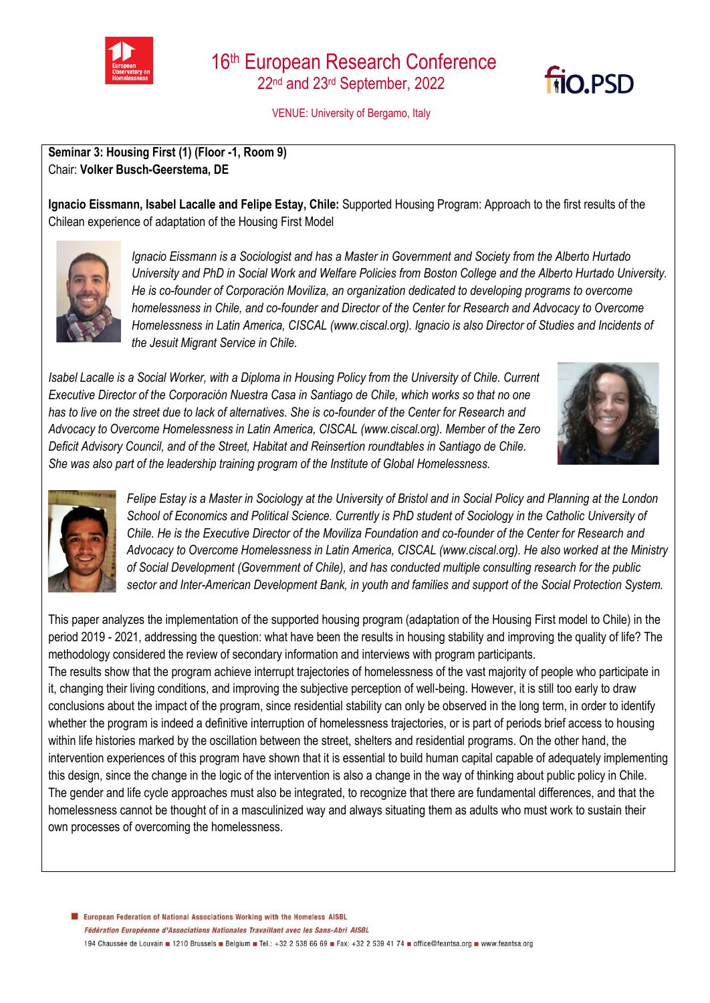

VENUE: University of Bergamo, Italy



**Ignacio Eissmann, Isabel Lacalle and Felipe Estay, Chile:** Supported Housing Program: Approach to the first results of the Chilean experience of adaptation of the Housing First Model



*Ignacio Eissmann is a Sociologist and has a Master in Government and Society from the Alberto Hurtado University and PhD in Social Work and Welfare Policies from Boston College and the Alberto Hurtado University. He is co-founder of Corporación Moviliza, an organization dedicated to developing programs to overcome homelessness in Chile, and co-founder and Director of the Center for Research and Advocacy to Overcome Homelessness in Latin America, CISCAL (www.ciscal.org). Ignacio is also Director of Studies and Incidents of the Jesuit Migrant Service in Chile.*

*Isabel Lacalle is a Social Worker, with a Diploma in Housing Policy from the University of Chile. Current Executive Director of the Corporación Nuestra Casa in Santiago de Chile, which works so that no one has to live on the street due to lack of alternatives. She is co-founder of the Center for Research and Advocacy to Overcome Homelessness in Latin America, CISCAL (www.ciscal.org). Member of the Zero Deficit Advisory Council, and of the Street, Habitat and Reinsertion roundtables in Santiago de Chile. She was also part of the leadership training program of the Institute of Global Homelessness.*



**fio.PSD** 



*Felipe Estay is a Master in Sociology at the University of Bristol and in Social Policy and Planning at the London School of Economics and Political Science. Currently is PhD student of Sociology in the Catholic University of Chile. He is the Executive Director of the Moviliza Foundation and co-founder of the Center for Research and Advocacy to Overcome Homelessness in Latin America, CISCAL (www.ciscal.org). He also worked at the Ministry of Social Development (Government of Chile), and has conducted multiple consulting research for the public sector and Inter-American Development Bank, in youth and families and support of the Social Protection System.*

This paper analyzes the implementation of the supported housing program (adaptation of the Housing First model to Chile) in the period 2019 - 2021, addressing the question: what have been the results in housing stability and improving the quality of life? The methodology considered the review of secondary information and interviews with program participants.

The results show that the program achieve interrupt trajectories of homelessness of the vast majority of people who participate in it, changing their living conditions, and improving the subjective perception of well-being. However, it is still too early to draw conclusions about the impact of the program, since residential stability can only be observed in the long term, in order to identify whether the program is indeed a definitive interruption of homelessness trajectories, or is part of periods brief access to housing within life histories marked by the oscillation between the street, shelters and residential programs. On the other hand, the intervention experiences of this program have shown that it is essential to build human capital capable of adequately implementing this design, since the change in the logic of the intervention is also a change in the way of thinking about public policy in Chile. The gender and life cycle approaches must also be integrated, to recognize that there are fundamental differences, and that the homelessness cannot be thought of in a masculinized way and always situating them as adults who must work to sustain their own processes of overcoming the homelessness.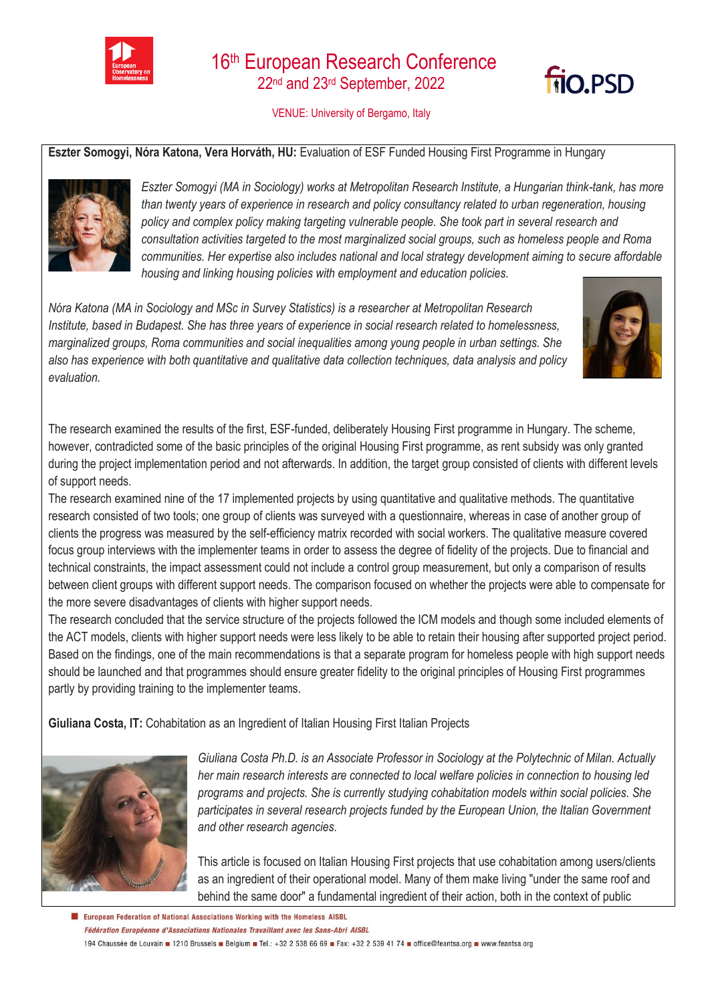

## 16<sup>th</sup> European Research Conference 22nd and 23rd September, 2022

VENUE: University of Bergamo, Italy

## **Eszter Somogyi, Nóra Katona, Vera Horváth, HU:** Evaluation of ESF Funded Housing First Programme in Hungary



*Eszter Somogyi (MA in Sociology) works at Metropolitan Research Institute, a Hungarian think-tank, has more than twenty years of experience in research and policy consultancy related to urban regeneration, housing policy and complex policy making targeting vulnerable people. She took part in several research and consultation activities targeted to the most marginalized social groups, such as homeless people and Roma communities. Her expertise also includes national and local strategy development aiming to secure affordable housing and linking housing policies with employment and education policies.*

*Nóra Katona (MA in Sociology and MSc in Survey Statistics) is a researcher at Metropolitan Research Institute, based in Budapest. She has three years of experience in social research related to homelessness, marginalized groups, Roma communities and social inequalities among young people in urban settings. She also has experience with both quantitative and qualitative data collection techniques, data analysis and policy evaluation.*



filo.PSD

The research examined the results of the first, ESF-funded, deliberately Housing First programme in Hungary. The scheme, however, contradicted some of the basic principles of the original Housing First programme, as rent subsidy was only granted during the project implementation period and not afterwards. In addition, the target group consisted of clients with different levels of support needs.

The research examined nine of the 17 implemented projects by using quantitative and qualitative methods. The quantitative research consisted of two tools; one group of clients was surveyed with a questionnaire, whereas in case of another group of clients the progress was measured by the self-efficiency matrix recorded with social workers. The qualitative measure covered focus group interviews with the implementer teams in order to assess the degree of fidelity of the projects. Due to financial and technical constraints, the impact assessment could not include a control group measurement, but only a comparison of results between client groups with different support needs. The comparison focused on whether the projects were able to compensate for the more severe disadvantages of clients with higher support needs.

The research concluded that the service structure of the projects followed the ICM models and though some included elements of the ACT models, clients with higher support needs were less likely to be able to retain their housing after supported project period. Based on the findings, one of the main recommendations is that a separate program for homeless people with high support needs should be launched and that programmes should ensure greater fidelity to the original principles of Housing First programmes partly by providing training to the implementer teams.

**Giuliana Costa, IT:** Cohabitation as an Ingredient of Italian Housing First Italian Projects



*Giuliana Costa Ph.D. is an Associate Professor in Sociology at the Polytechnic of Milan. Actually her main research interests are connected to local welfare policies in connection to housing led programs and projects. She is currently studying cohabitation models within social policies. She participates in several research projects funded by the European Union, the Italian Government and other research agencies.*

This article is focused on Italian Housing First projects that use cohabitation among users/clients as an ingredient of their operational model. Many of them make living "under the same roof and behind the same door" a fundamental ingredient of their action, both in the context of public

El European Federation of National Associations Working with the Homeless AISBL Fédération Européenne d'Associations Nationales Travaillant avec les Sans-Abri AISBL 194 Chaussée de Louvain 1210 Brussels Belgium B Tel.: +32 2 538 66 69 B Fax: +32 2 539 41 74 B office@feantsa.org B www.feantsa.org